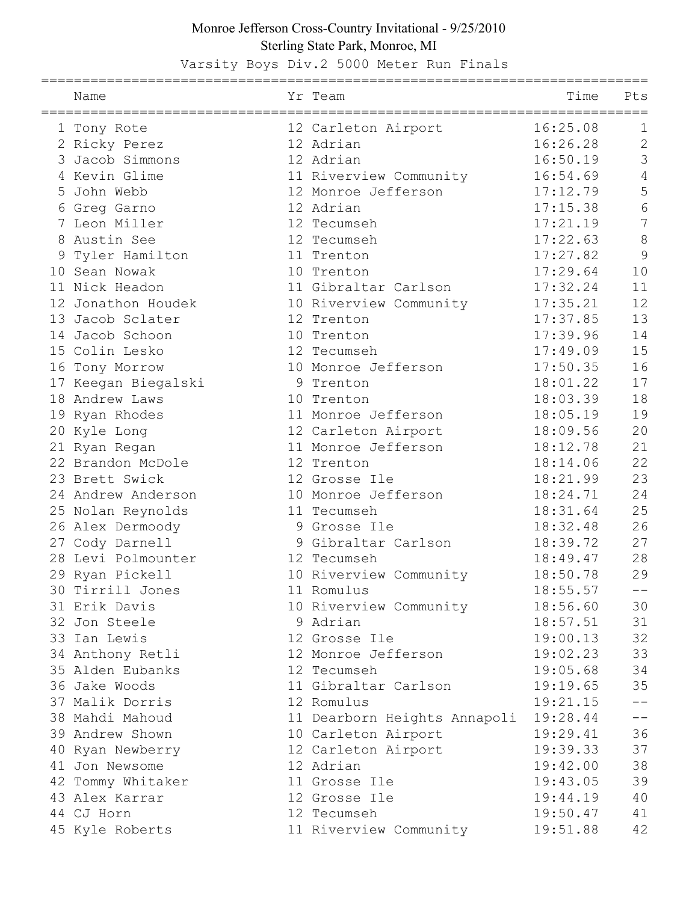## Monroe Jefferson Cross-Country Invitational - 9/25/2010 Sterling State Park, Monroe, MI

Varsity Boys Div.2 5000 Meter Run Finals

|    | Name                |    | Yr Team                      | Time     | Pts            |
|----|---------------------|----|------------------------------|----------|----------------|
|    | 1 Tony Rote         |    | 12 Carleton Airport          | 16:25.08 | 1              |
|    | 2 Ricky Perez       |    | 12 Adrian                    | 16:26.28 | $\overline{2}$ |
| 3  | Jacob Simmons       |    | 12 Adrian                    | 16:50.19 | 3              |
|    | 4 Kevin Glime       |    | 11 Riverview Community       | 16:54.69 | 4              |
| 5  | John Webb           |    | 12 Monroe Jefferson          | 17:12.79 | 5              |
| 6  | Greg Garno          |    | 12 Adrian                    | 17:15.38 | 6              |
|    | 7 Leon Miller       |    | 12 Tecumseh                  | 17:21.19 | 7              |
| 8  | Austin See          |    | 12 Tecumseh                  | 17:22.63 | 8              |
| 9  | Tyler Hamilton      |    | 11 Trenton                   | 17:27.82 | 9              |
|    | 10 Sean Nowak       |    | 10 Trenton                   | 17:29.64 | 10             |
|    | 11 Nick Headon      |    | 11 Gibraltar Carlson         | 17:32.24 | 11             |
|    | 12 Jonathon Houdek  |    | 10 Riverview Community       | 17:35.21 | 12             |
|    | 13 Jacob Sclater    |    | 12 Trenton                   | 17:37.85 | 13             |
|    | 14 Jacob Schoon     |    | 10 Trenton                   | 17:39.96 | 14             |
| 15 | Colin Lesko         | 12 | Tecumseh                     | 17:49.09 | 15             |
|    | 16 Tony Morrow      |    | 10 Monroe Jefferson          | 17:50.35 | 16             |
|    | 17 Keegan Biegalski |    | 9 Trenton                    | 18:01.22 | 17             |
|    | 18 Andrew Laws      |    | 10 Trenton                   | 18:03.39 | 18             |
|    | 19 Ryan Rhodes      |    | 11 Monroe Jefferson          | 18:05.19 | 19             |
|    | 20 Kyle Long        |    | 12 Carleton Airport          | 18:09.56 | 20             |
|    | 21 Ryan Regan       |    | 11 Monroe Jefferson          | 18:12.78 | 21             |
|    | 22 Brandon McDole   |    | 12 Trenton                   | 18:14.06 | 22             |
|    | 23 Brett Swick      |    | 12 Grosse Ile                | 18:21.99 | 23             |
|    | 24 Andrew Anderson  |    | 10 Monroe Jefferson          | 18:24.71 | 24             |
|    | 25 Nolan Reynolds   |    | 11 Tecumseh                  | 18:31.64 | 25             |
|    | 26 Alex Dermoody    | 9  | Grosse Ile                   | 18:32.48 | 26             |
|    | 27 Cody Darnell     | 9  | Gibraltar Carlson            | 18:39.72 | 27             |
|    | 28 Levi Polmounter  |    | 12 Tecumseh                  | 18:49.47 | 28             |
|    | 29 Ryan Pickell     |    | 10 Riverview Community       | 18:50.78 | 29             |
|    | 30 Tirrill Jones    |    | 11 Romulus                   | 18:55.57 | $- -$          |
|    | 31 Erik Davis       |    | 10 Riverview Community       | 18:56.60 | 30             |
|    | 32 Jon Steele       |    | 9 Adrian                     | 18:57.51 | 31             |
|    | 33 Ian Lewis        |    | 12 Grosse Ile                | 19:00.13 | 32             |
|    | 34 Anthony Retli    |    | 12 Monroe Jefferson          | 19:02.23 | 33             |
|    | 35 Alden Eubanks    |    | 12 Tecumseh                  | 19:05.68 | 34             |
|    | 36 Jake Woods       |    | 11 Gibraltar Carlson         | 19:19.65 | 35             |
|    | 37 Malik Dorris     |    | 12 Romulus                   | 19:21.15 | $-1$           |
|    | 38 Mahdi Mahoud     |    | 11 Dearborn Heights Annapoli | 19:28.44 | $- -$          |
|    | 39 Andrew Shown     |    | 10 Carleton Airport          | 19:29.41 | 36             |
|    | 40 Ryan Newberry    |    | 12 Carleton Airport          | 19:39.33 | 37             |
|    | 41 Jon Newsome      |    | 12 Adrian                    | 19:42.00 | 38             |
|    | 42 Tommy Whitaker   |    | 11 Grosse Ile                | 19:43.05 | 39             |
|    | 43 Alex Karrar      |    | 12 Grosse Ile                | 19:44.19 | 40             |
|    | 44 CJ Horn          |    | 12 Tecumseh                  | 19:50.47 | 41             |
|    | 45 Kyle Roberts     |    | 11 Riverview Community       | 19:51.88 | 42             |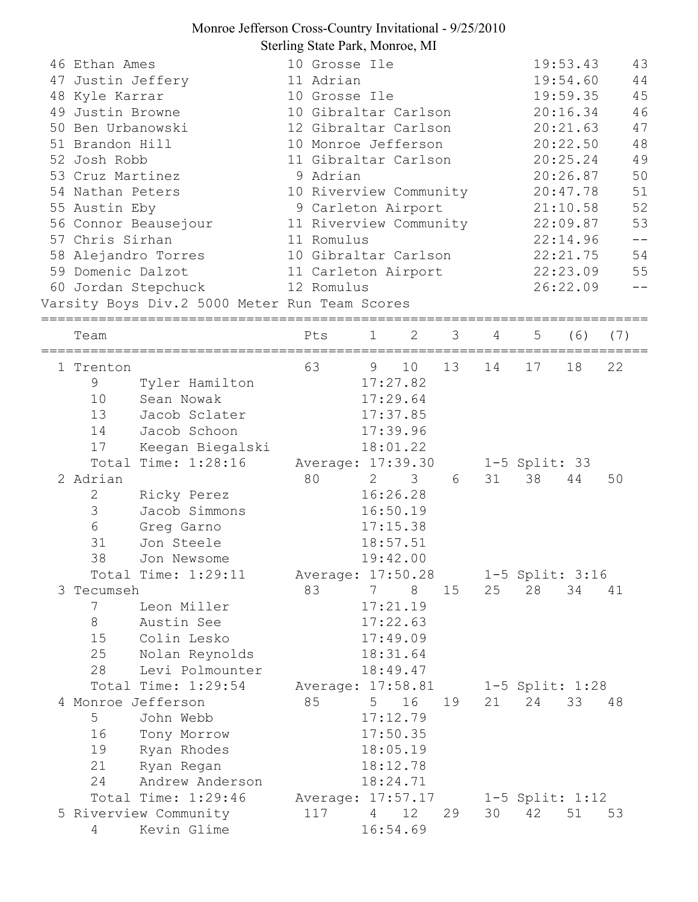## Monroe Jefferson Cross-Country Invitational - 9/25/2010 Sterling State Park, Monroe, MI

| 46 Ethan Ames                                 | 10 Grosse Ile          |                                              |                 |    |                |                     | 19:53.43       | 43                |  |
|-----------------------------------------------|------------------------|----------------------------------------------|-----------------|----|----------------|---------------------|----------------|-------------------|--|
| 47 Justin Jeffery                             |                        | 11 Adrian                                    |                 |    |                |                     | 19:54.60<br>44 |                   |  |
| 48 Kyle Karrar                                |                        | 10 Grosse Ile                                |                 |    |                |                     | 19:59.35       | 45                |  |
| 49 Justin Browne                              |                        | 10 Gibraltar Carlson                         |                 |    |                |                     | 20:16.34       | 46                |  |
| 50 Ben Urbanowski                             |                        | 12 Gibraltar Carlson                         |                 |    |                |                     | 20:21.63       | 47                |  |
| 51 Brandon Hill                               | 10 Monroe Jefferson    |                                              |                 |    |                |                     | 20:22.50       | 48                |  |
| 52 Josh Robb                                  | 11 Gibraltar Carlson   |                                              |                 |    |                |                     | 20:25.24       | 49                |  |
| 53 Cruz Martinez                              | 9 Adrian               |                                              |                 |    |                | 20:26.87            | 50             |                   |  |
| 54 Nathan Peters                              | 10 Riverview Community |                                              |                 |    |                | 20:47.78            | 51             |                   |  |
| 55 Austin Eby                                 |                        | 9 Carleton Airport                           |                 |    |                |                     | 21:10.58       | 52                |  |
| 56 Connor Beausejour                          |                        | 11 Riverview Community                       |                 |    |                |                     | 22:09.87       | 53                |  |
| 57 Chris Sirhan                               |                        | 11 Romulus                                   |                 |    |                |                     | 22:14.96       | $\equiv$ $\equiv$ |  |
| 58 Alejandro Torres                           | 10 Gibraltar Carlson   |                                              |                 |    |                |                     | 22:21.75       | 54                |  |
| 59 Domenic Dalzot                             | 11 Carleton Airport    |                                              |                 |    | 22:23.09<br>55 |                     |                |                   |  |
| 60 Jordan Stepchuck                           |                        | 12 Romulus                                   |                 |    |                |                     | 26:22.09       |                   |  |
| Varsity Boys Div.2 5000 Meter Run Team Scores |                        |                                              |                 |    |                |                     |                |                   |  |
|                                               |                        |                                              |                 |    |                |                     |                |                   |  |
| Team                                          | Pts                    | 1                                            | 2               | 3  | 4              | 5                   | (6)            | (7)               |  |
|                                               |                        |                                              |                 |    |                |                     |                |                   |  |
| 1 Trenton                                     | 63                     | 9                                            | 10              | 13 | 14             | 17                  | 18             | 22                |  |
| Tyler Hamilton<br>9                           |                        |                                              | 17:27.82        |    |                |                     |                |                   |  |
| 10<br>Sean Nowak                              |                        |                                              | 17:29.64        |    |                |                     |                |                   |  |
| 13<br>Jacob Sclater                           |                        |                                              | 17:37.85        |    |                |                     |                |                   |  |
| 14<br>Jacob Schoon                            |                        |                                              | 17:39.96        |    |                |                     |                |                   |  |
| 17<br>Keegan Biegalski                        |                        |                                              | 18:01.22        |    |                |                     |                |                   |  |
| Total Time: 1:28:16                           | Average: 17:39.30      |                                              |                 |    |                | $1-5$ Split: 33     |                |                   |  |
| 2 Adrian                                      | 80                     | $2 \left( \frac{1}{2} \right)$               | 3               | 6  | 31             | 38                  | 44             | 50                |  |
| 2<br>Ricky Perez                              |                        |                                              | 16:26.28        |    |                |                     |                |                   |  |
| 3<br>Jacob Simmons                            |                        | 16:50.19<br>17:15.38<br>18:57.51<br>19:42.00 |                 |    |                |                     |                |                   |  |
| 6<br>Greg Garno                               |                        |                                              |                 |    |                |                     |                |                   |  |
| 31<br>Jon Steele                              |                        |                                              |                 |    |                |                     |                |                   |  |
| 38<br>Jon Newsome                             |                        |                                              |                 |    |                |                     |                |                   |  |
| Total Time: 1:29:11                           | Average: 17:50.28      |                                              |                 |    |                | 1-5 Split: 3:16     |                |                   |  |
| 3 Tecumseh                                    | 83                     | 7                                            | 8               | 15 | 25             | 28                  | 34             | 41                |  |
| Leon Miller<br>7                              |                        |                                              | 17:21.19        |    |                |                     |                |                   |  |
| 8<br>Austin See                               |                        |                                              | 17:22.63        |    |                |                     |                |                   |  |
| 15<br>Colin Lesko                             |                        |                                              | 17:49.09        |    |                |                     |                |                   |  |
| 25<br>Nolan Reynolds                          |                        |                                              | 18:31.64        |    |                |                     |                |                   |  |
| 28<br>Levi Polmounter                         |                        |                                              | 18:49.47        |    |                |                     |                |                   |  |
| Total Time: 1:29:54                           | Average: 17:58.81      |                                              |                 |    |                | 1-5 Split: 1:28     |                |                   |  |
| 4 Monroe Jefferson                            | 85                     | 5                                            | 16              | 19 | 21             | 24                  | 33             | 48                |  |
| 5 <sup>5</sup><br>John Webb                   |                        |                                              | 17:12.79        |    |                |                     |                |                   |  |
| 16<br>Tony Morrow                             |                        |                                              | 17:50.35        |    |                |                     |                |                   |  |
| 19<br>Ryan Rhodes                             |                        |                                              | 18:05.19        |    |                |                     |                |                   |  |
|                                               |                        |                                              |                 |    |                |                     |                |                   |  |
| 21<br>Ryan Regan                              |                        |                                              | 18:12.78        |    |                |                     |                |                   |  |
| Andrew Anderson<br>24                         |                        |                                              | 18:24.71        |    |                |                     |                |                   |  |
| Total Time: 1:29:46                           | Average: 17:57.17      |                                              |                 |    |                | $1-5$ Split: $1:12$ |                |                   |  |
| 5 Riverview Community                         | 117                    | 4                                            | 12 <sup>°</sup> | 29 | 30             | 42                  | 51             | 53                |  |
| Kevin Glime<br>4                              |                        |                                              | 16:54.69        |    |                |                     |                |                   |  |